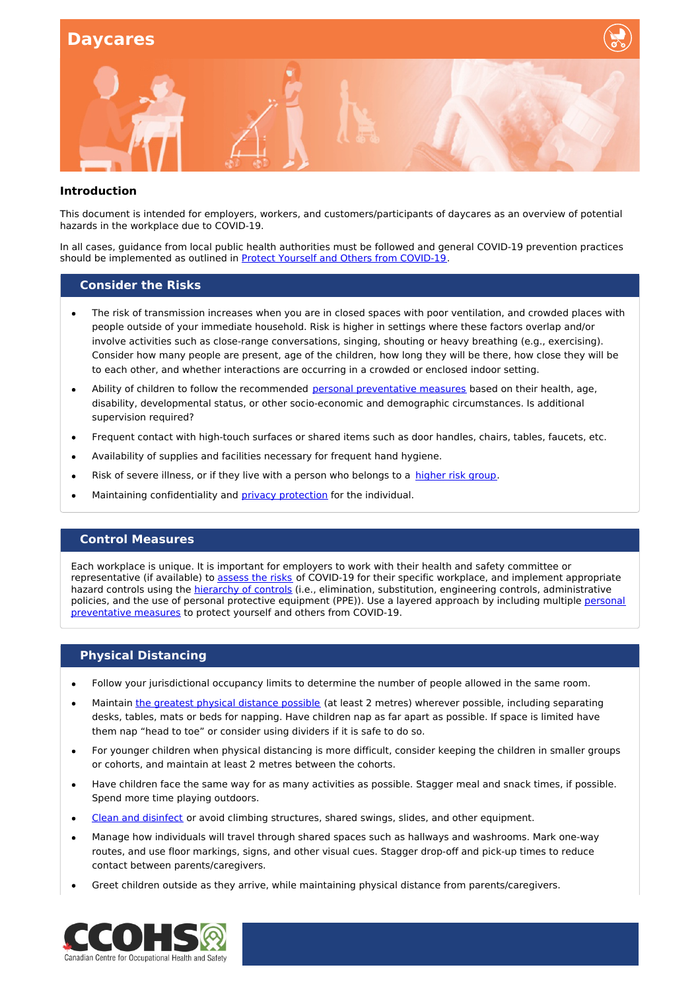

#### **Introduction**

This document is intended for employers, workers, and customers/participants of daycares as an overview of potential hazards in the workplace due to COVID-19.

In all cases, guidance from local public health authorities must be followed and general COVID-19 prevention practices should be implemented as outlined in Protect Yourself and Others from [COVID-19](https://www.ccohs.ca/covid19/protect-yourself/).

#### **Consider the Risks**

- The risk of transmission increases when you are in closed spaces with poor ventilation, and crowded places with people outside of your immediate household. Risk is higher in settings where these factors overlap and/or involve activities such as close-range conversations, singing, shouting or heavy breathing (e.g., exercising). Consider how many people are present, age of the children, how long they will be there, how close they will be to each other, and whether interactions are occurring in a crowded or enclosed indoor setting.
- Ability of children to follow the recommended personal [preventative](https://www.canada.ca/en/public-health/services/diseases/2019-novel-coronavirus-infection/prevention-risks.html#p) measures based on their health, age, disability, developmental status, or other socio-economic and demographic circumstances. Is additional supervision required?
- Frequent contact with high-touch surfaces or shared items such as door handles, chairs, tables, faucets, etc.
- Availability of supplies and facilities necessary for frequent hand hygiene.
- Risk of severe illness, or if they live with a person who belongs to a [higher](https://www.canada.ca/en/public-health/services/publications/diseases-conditions/people-high-risk-for-severe-illness-covid-19.html) risk group.
- Maintaining confidentiality and privacy [protection](https://www.priv.gc.ca/en/privacy-topics/privacy-laws-in-canada/02_05_d_15/) for the individual.

### **Control Measures**

Each workplace is unique. It is important for employers to work with their health and safety committee or representative (if available) to [assess](https://www.canada.ca/en/public-health/services/diseases/2019-novel-coronavirus-infection/health-professionals/guidance-schools-childcare-programs.html) the risks of COVID-19 for their specific workplace, and implement appropriate hazard controls using the [hierarchy](https://www.ccohs.ca/images/products/infographics/download/hierarchy-covid.png) of controls (i.e., elimination, substitution, engineering controls, administrative policies, and the use of personal protective equipment (PPE)). Use a layered approach by including multiple personal [preventative](https://www.canada.ca/en/public-health/services/diseases/2019-novel-coronavirus-infection/prevention-risks.html#p) measures to protect yourself and others from COVID-19.

### **Physical Distancing**

- Follow your jurisdictional occupancy limits to determine the number of people allowed in the same room.
- Maintain the greatest physical [distance](https://www.canada.ca/en/public-health/services/publications/diseases-conditions/social-distancing.html) possible (at least 2 metres) wherever possible, including separating desks, tables, mats or beds for napping. Have children nap as far apart as possible. If space is limited have them nap "head to toe" or consider using dividers if it is safe to do so.
- For younger children when physical distancing is more difficult, consider keeping the children in smaller groups or cohorts, and maintain at least 2 metres between the cohorts.
- Have children face the same way for as many activities as possible. Stagger meal and snack times, if possible. Spend more time playing outdoors.
- Clean and [disinfect](https://www.canada.ca/en/public-health/services/diseases/2019-novel-coronavirus-infection/prevention-risks/cleaning-disinfecting.html) or avoid climbing structures, shared swings, slides, and other equipment.
- Manage how individuals will travel through shared spaces such as hallways and washrooms. Mark one-way routes, and use floor markings, signs, and other visual cues. Stagger drop-off and pick-up times to reduce contact between parents/caregivers.
- Greet children outside as they arrive, while maintaining physical distance from parents/caregivers.

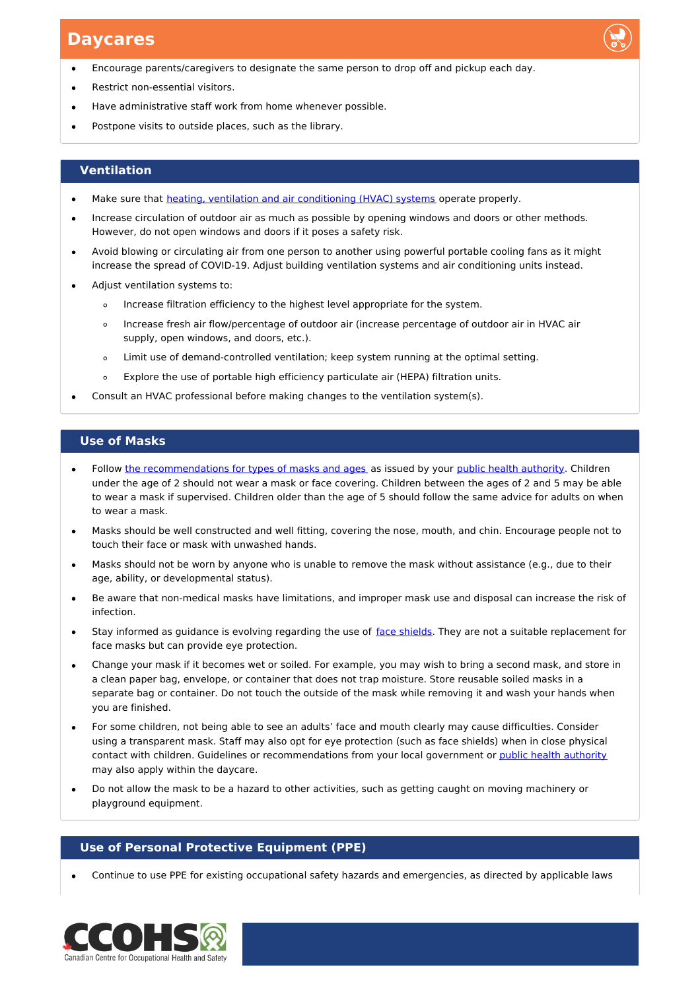- Encourage parents/caregivers to designate the same person to drop off and pickup each day.
- Restrict non-essential visitors.
- Have administrative staff work from home whenever possible.
- Postpone visits to outside places, such as the library.

### **Ventilation**

- Make sure that heating, ventilation and air [conditioning](https://www.canada.ca/en/public-health/services/diseases/2019-novel-coronavirus-infection/prevention-risks/covid-19-improving-indoor-ventilation.html) (HVAC) systems operate properly.
- Increase circulation of outdoor air as much as possible by opening windows and doors or other methods. However, do not open windows and doors if it poses a safety risk.
- Avoid blowing or circulating air from one person to another using powerful portable cooling fans as it might increase the spread of COVID-19. Adjust building ventilation systems and air conditioning units instead.
- Adjust ventilation systems to:
	- Increase filtration efficiency to the highest level appropriate for the system.  $\circ$
	- Increase fresh air flow/percentage of outdoor air (increase percentage of outdoor air in HVAC air  $\circ$ supply, open windows, and doors, etc.).
	- Limit use of demand-controlled ventilation; keep system running at the optimal setting.  $\Omega$
	- Explore the use of portable high efficiency particulate air (HEPA) filtration units.  $\circ$
- Consult an HVAC professional before making changes to the ventilation system(s).

### **Use of Masks**

- Follow the [recommendations](https://www.canada.ca/en/public-health/services/diseases/2019-novel-coronavirus-infection/prevention-risks/about-non-medical-masks-face-coverings.html) for types of masks and ages as issued by your public health [authority](https://www.canada.ca/en/public-health/services/diseases/2019-novel-coronavirus-infection/symptoms/provincial-territorial-resources-covid-19.html). Children under the age of 2 should not wear a mask or face covering. Children between the ages of 2 and 5 may be able to wear a mask if supervised. Children older than the age of 5 should follow the same advice for adults on when to wear a mask.
- Masks should be well constructed and well fitting, covering the nose, mouth, and chin. Encourage people not to touch their face or mask with unwashed hands.
- Masks should not be worn by anyone who is unable to remove the mask without assistance (e.g., due to their age, ability, or developmental status).
- Be aware that non-medical masks have limitations, and improper mask use and disposal can increase the risk of infection.
- Stay informed as guidance is evolving regarding the use of face [shields](https://www.canada.ca/en/public-health/services/diseases/2019-novel-coronavirus-infection/prevention-risks/about-non-medical-masks-face-coverings.html#a7). They are not a suitable replacement for face masks but can provide eye protection.
- Change your mask if it becomes wet or soiled. For example, you may wish to bring a second mask, and store in  $\bullet$ a clean paper bag, envelope, or container that does not trap moisture. Store reusable soiled masks in a separate bag or container. Do not touch the outside of the mask while removing it and wash your hands when you are finished.
- For some children, not being able to see an adults' face and mouth clearly may cause difficulties. Consider using a transparent mask. Staff may also opt for eye protection (such as face shields) when in close physical contact with children. Guidelines or recommendations from your local government or public health [authority](https://www.canada.ca/en/public-health/services/diseases/2019-novel-coronavirus-infection/symptoms/provincial-territorial-resources-covid-19.html) may also apply within the daycare.
- Do not allow the mask to be a hazard to other activities, such as getting caught on moving machinery or playground equipment.

### **Use of Personal Protective Equipment (PPE)**

Continue to use PPE for existing occupational safety hazards and emergencies, as directed by applicable laws

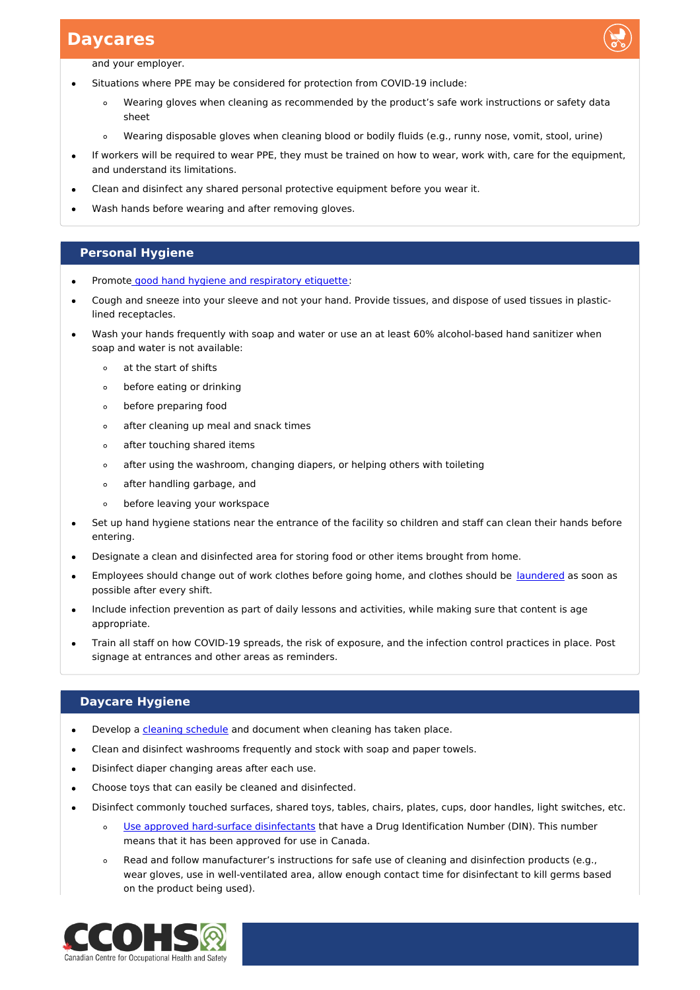

and your employer.

- Situations where PPE may be considered for protection from COVID-19 include:
	- Wearing gloves when cleaning as recommended by the product's safe work instructions or safety data  $\circ$ sheet
	- Wearing disposable gloves when cleaning blood or bodily fluids (e.g., runny nose, vomit, stool, urine)  $\circ$
- If workers will be required to wear PPE, they must be trained on how to wear, work with, care for the equipment, and understand its limitations.
- Clean and disinfect any shared personal protective equipment before you wear it.
- Wash hands before wearing and after removing gloves.

### **Personal Hygiene**

- Promote good hand hygiene and [respiratory](https://www.canada.ca/en/public-health/services/diseases/2019-novel-coronavirus-infection/prevention-risks.html#p) etiquette:
- Cough and sneeze into your sleeve and not your hand. Provide tissues, and dispose of used tissues in plasticlined receptacles.
- Wash your hands frequently with soap and water or use an at least 60% alcohol-based hand sanitizer when soap and water is not available:
	- at the start of shifts  $\circ$
	- before eating or drinking  $\circ$
	- before preparing food  $\circ$
	- after cleaning up meal and snack times  $\circ$
	- $\circ$ after touching shared items
	- $\circ$ after using the washroom, changing diapers, or helping others with toileting
	- $\circ$ after handling garbage, and
	- before leaving your workspace  $\circ$
- Set up hand hygiene stations near the entrance of the facility so children and staff can clean their hands before  $\bullet$ entering.
- Designate a clean and disinfected area for storing food or other items brought from home.
- Employees should change out of work clothes before going home, and clothes should be [laundered](https://www.ccohs.ca/covid19/drycleaning/) as soon as  $\bullet$ possible after every shift.
- Include infection prevention as part of daily lessons and activities, while making sure that content is age appropriate.
- Train all staff on how COVID-19 spreads, the risk of exposure, and the infection control practices in place. Post signage at entrances and other areas as reminders.

### **Daycare Hygiene**

- Develop a cleaning [schedule](https://www.ccohs.ca/covid19/disinfect-touchpoints/) and document when cleaning has taken place.
- Clean and disinfect washrooms frequently and stock with soap and paper towels.
- Disinfect diaper changing areas after each use.
- Choose toys that can easily be cleaned and disinfected.
- Disinfect commonly touched surfaces, shared toys, tables, chairs, plates, cups, door handles, light switches, etc.
	- $\circ$ Use approved hard-surface [disinfectants](https://www.canada.ca/en/health-canada/services/drugs-health-products/disinfectants/covid-19/list.html) that have a Drug Identification Number (DIN). This number means that it has been approved for use in Canada.
	- Read and follow manufacturer's instructions for safe use of cleaning and disinfection products (e.g., wear gloves, use in well-ventilated area, allow enough contact time for disinfectant to kill germs based on the product being used).

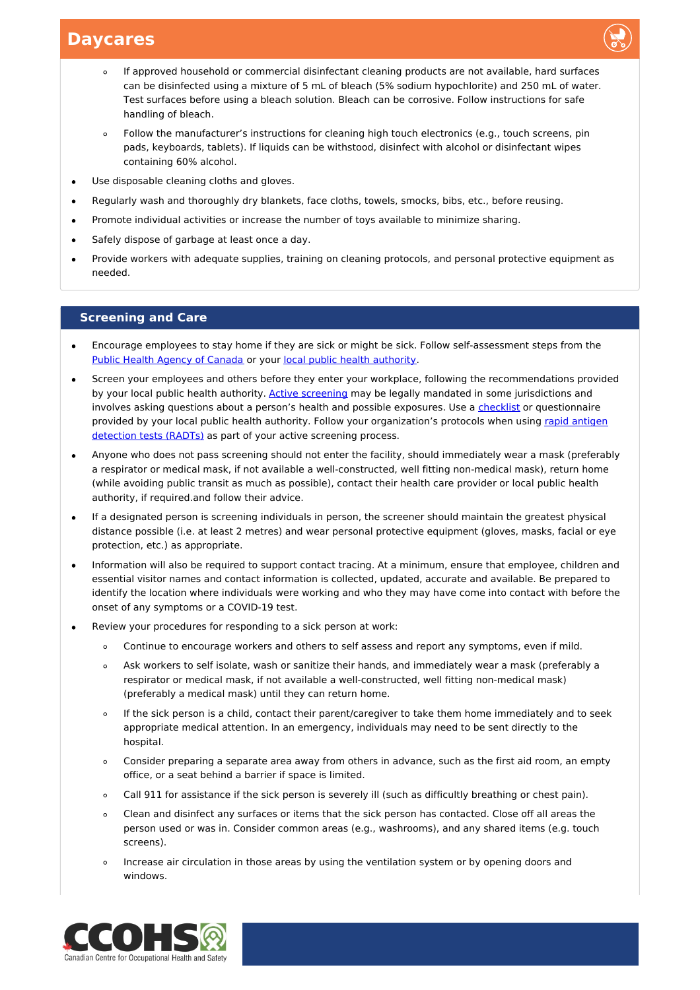

- If approved household or commercial disinfectant cleaning products are not available, hard surfaces can be disinfected using a mixture of 5 mL of bleach (5% sodium hypochlorite) and 250 mL of water. Test surfaces before using a bleach solution. Bleach can be corrosive. Follow instructions for safe handling of bleach.
- Follow the manufacturer's instructions for cleaning high touch electronics (e.g., touch screens, pin  $\circ$ pads, keyboards, tablets). If liquids can be withstood, disinfect with alcohol or disinfectant wipes containing 60% alcohol.
- Use disposable cleaning cloths and gloves.
- Regularly wash and thoroughly dry blankets, face cloths, towels, smocks, bibs, etc., before reusing.
- Promote individual activities or increase the number of toys available to minimize sharing.
- Safely dispose of garbage at least once a day.
- Provide workers with adequate supplies, training on cleaning protocols, and personal protective equipment as needed.

### **Screening and Care**

- Encourage employees to stay home if they are sick or might be sick. Follow self-assessment steps from the Public Health Agency of [Canada](https://www.canada.ca/coronavirus) or your local public health [authority](https://www.canada.ca/en/public-health/services/diseases/2019-novel-coronavirus-infection/symptoms/provincial-territorial-resources-covid-19.html).
- Screen your employees and others before they enter your workplace, following the recommendations provided by your local public health authority. Active [screening](https://www.ccohs.ca/images/products/pandemiccovid19/pdf/covid-screen-tool.pdf) may be legally mandated in some jurisdictions and involves asking questions about a person's health and possible exposures. Use a [checklist](https://www.ccohs.ca/images/products/pandemiccovid19/pdf/covid-screen-tool.pdf) or questionnaire provided by your local public health authority. Follow your [organization's](https://www.ccohs.ca/covid19/rapid-testing/) protocols when using rapid antigen detection tests (RADTs) as part of your active screening process.
- Anyone who does not pass screening should not enter the facility, should immediately wear a mask (preferably a respirator or medical mask, if not available a well-constructed, well fitting non-medical mask), return home (while avoiding public transit as much as possible), contact their health care provider or local public health authority, if required.and follow their advice.
- If a designated person is screening individuals in person, the screener should maintain the greatest physical distance possible (i.e. at least 2 metres) and wear personal protective equipment (gloves, masks, facial or eye protection, etc.) as appropriate.
- Information will also be required to support contact tracing. At a minimum, ensure that employee, children and essential visitor names and contact information is collected, updated, accurate and available. Be prepared to identify the location where individuals were working and who they may have come into contact with before the onset of any symptoms or a COVID-19 test.
- Review your procedures for responding to a sick person at work:
	- Continue to encourage workers and others to self assess and report any symptoms, even if mild.
	- Ask workers to self isolate, wash or sanitize their hands, and immediately wear a mask (preferably a respirator or medical mask, if not available a well-constructed, well fitting non-medical mask) (preferably a medical mask) until they can return home.
	- If the sick person is a child, contact their parent/caregiver to take them home immediately and to seek  $\circ$ appropriate medical attention. In an emergency, individuals may need to be sent directly to the hospital.
	- Consider preparing a separate area away from others in advance, such as the first aid room, an empty  $\circ$ office, or a seat behind a barrier if space is limited.
	- Call 911 for assistance if the sick person is severely ill (such as difficultly breathing or chest pain).  $\circ$
	- Clean and disinfect any surfaces or items that the sick person has contacted. Close off all areas the  $\circ$ person used or was in. Consider common areas (e.g., washrooms), and any shared items (e.g. touch screens).
	- Increase air circulation in those areas by using the ventilation system or by opening doors and  $\Omega$ windows.